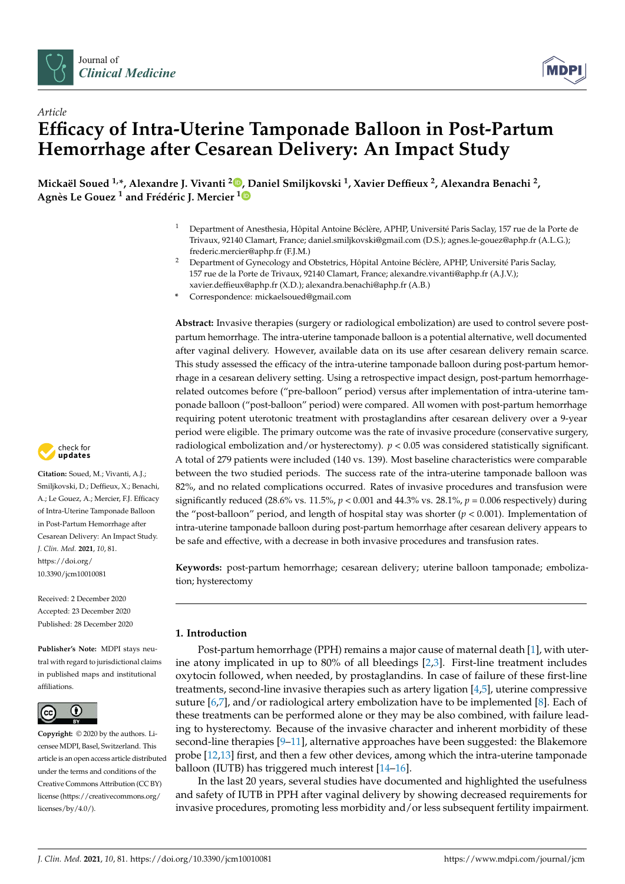

*Article*



# **Efficacy of Intra-Uterine Tamponade Balloon in Post-Partum Hemorrhage after Cesarean Delivery: An Impact Study**

**Mickaël Soued 1,\*, Alexandre J. Vivanti <sup>2</sup> [,](https://orcid.org/0000-0002-4921-0047) Daniel Smiljkovski <sup>1</sup> , Xavier Deffieux <sup>2</sup> , Alexandra Benachi <sup>2</sup> , Agnès Le Gouez <sup>1</sup> and Frédéric J. Mercier [1](https://orcid.org/0000-0002-1289-2849)**

- <sup>1</sup> Department of Anesthesia, Hôpital Antoine Béclère, APHP, Université Paris Saclay, 157 rue de la Porte de Trivaux, 92140 Clamart, France; daniel.smiljkovski@gmail.com (D.S.); agnes.le-gouez@aphp.fr (A.L.G.); frederic.mercier@aphp.fr (F.J.M.)
- <sup>2</sup> Department of Gynecology and Obstetrics, Hôpital Antoine Béclère, APHP, Université Paris Saclay, 157 rue de la Porte de Trivaux, 92140 Clamart, France; alexandre.vivanti@aphp.fr (A.J.V.); xavier.deffieux@aphp.fr (X.D.); alexandra.benachi@aphp.fr (A.B.)
- **\*** Correspondence: mickaelsoued@gmail.com

**Abstract:** Invasive therapies (surgery or radiological embolization) are used to control severe postpartum hemorrhage. The intra-uterine tamponade balloon is a potential alternative, well documented after vaginal delivery. However, available data on its use after cesarean delivery remain scarce. This study assessed the efficacy of the intra-uterine tamponade balloon during post-partum hemorrhage in a cesarean delivery setting. Using a retrospective impact design, post-partum hemorrhagerelated outcomes before ("pre-balloon" period) versus after implementation of intra-uterine tamponade balloon ("post-balloon" period) were compared. All women with post-partum hemorrhage requiring potent uterotonic treatment with prostaglandins after cesarean delivery over a 9-year period were eligible. The primary outcome was the rate of invasive procedure (conservative surgery, radiological embolization and/or hysterectomy). *p* < 0.05 was considered statistically significant. A total of 279 patients were included (140 vs. 139). Most baseline characteristics were comparable between the two studied periods. The success rate of the intra-uterine tamponade balloon was 82%, and no related complications occurred. Rates of invasive procedures and transfusion were significantly reduced (28.6% vs. 11.5%,  $p < 0.001$  and 44.3% vs. 28.1%,  $p = 0.006$  respectively) during the "post-balloon" period, and length of hospital stay was shorter (*p* < 0.001). Implementation of intra-uterine tamponade balloon during post-partum hemorrhage after cesarean delivery appears to be safe and effective, with a decrease in both invasive procedures and transfusion rates.

**Keywords:** post-partum hemorrhage; cesarean delivery; uterine balloon tamponade; embolization; hysterectomy

# **1. Introduction**

Post-partum hemorrhage (PPH) remains a major cause of maternal death [\[1\]](#page-9-0), with uterine atony implicated in up to 80% of all bleedings [\[2,](#page-9-1)[3\]](#page-9-2). First-line treatment includes oxytocin followed, when needed, by prostaglandins. In case of failure of these first-line treatments, second-line invasive therapies such as artery ligation [\[4,](#page-9-3)[5\]](#page-9-4), uterine compressive suture [\[6,](#page-9-5)[7\]](#page-9-6), and/or radiological artery embolization have to be implemented [\[8\]](#page-9-7). Each of these treatments can be performed alone or they may be also combined, with failure leading to hysterectomy. Because of the invasive character and inherent morbidity of these second-line therapies [\[9](#page-9-8)[–11\]](#page-9-9), alternative approaches have been suggested: the Blakemore probe [\[12,](#page-9-10)[13\]](#page-9-11) first, and then a few other devices, among which the intra-uterine tamponade balloon (IUTB) has triggered much interest [\[14–](#page-9-12)[16\]](#page-10-0).

In the last 20 years, several studies have documented and highlighted the usefulness and safety of IUTB in PPH after vaginal delivery by showing decreased requirements for invasive procedures, promoting less morbidity and/or less subsequent fertility impairment.



**Citation:** Soued, M.; Vivanti, A.J.; Smiljkovski, D.; Deffieux, X.; Benachi, A.; Le Gouez, A.; Mercier, F.J. Efficacy of Intra-Uterine Tamponade Balloon in Post-Partum Hemorrhage after Cesarean Delivery: An Impact Study. *J. Clin. Med.* **2021**, *10*, 81. [https://doi.org/](https://doi.org/10.3390/jcm10010081) [10.3390/jcm10010081](https://doi.org/10.3390/jcm10010081)

Received: 2 December 2020 Accepted: 23 December 2020 Published: 28 December 2020

**Publisher's Note:** MDPI stays neutral with regard to jurisdictional claims in published maps and institutional affiliations.



**Copyright:** © 2020 by the authors. Licensee MDPI, Basel, Switzerland. This article is an open access article distributed under the terms and conditions of the Creative Commons Attribution (CC BY) license [\(https://creativecommons.org/](https://creativecommons.org/licenses/by/4.0/) [licenses/by/4.0/\)](https://creativecommons.org/licenses/by/4.0/).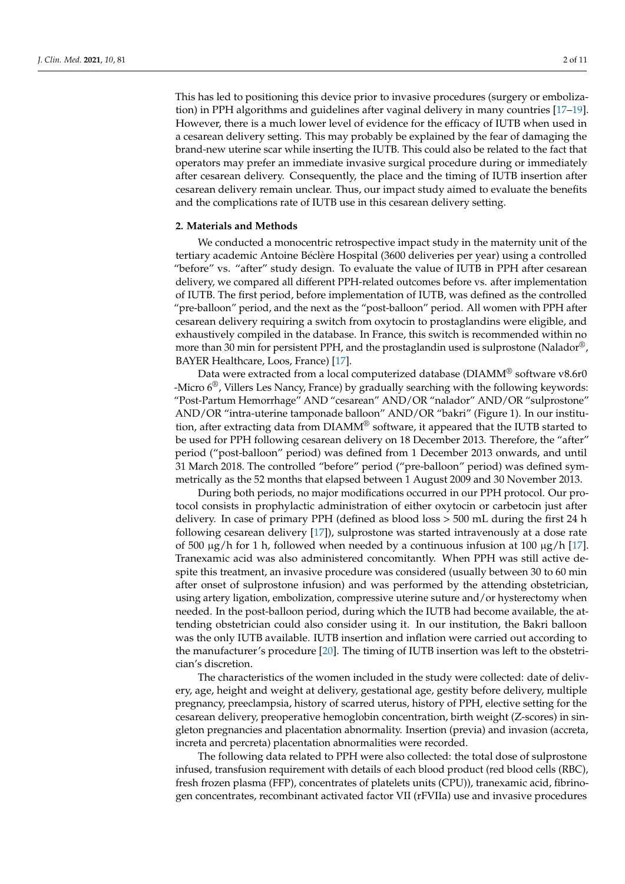This has led to positioning this device prior to invasive procedures (surgery or embolization) in PPH algorithms and guidelines after vaginal delivery in many countries [\[17](#page-10-1)[–19\]](#page-10-2). However, there is a much lower level of evidence for the efficacy of IUTB when used in a cesarean delivery setting. This may probably be explained by the fear of damaging the brand-new uterine scar while inserting the IUTB. This could also be related to the fact that operators may prefer an immediate invasive surgical procedure during or immediately after cesarean delivery. Consequently, the place and the timing of IUTB insertion after cesarean delivery remain unclear. Thus, our impact study aimed to evaluate the benefits and the complications rate of IUTB use in this cesarean delivery setting.

# **2. Materials and Methods**

We conducted a monocentric retrospective impact study in the maternity unit of the tertiary academic Antoine Béclère Hospital (3600 deliveries per year) using a controlled "before" vs. "after" study design. To evaluate the value of IUTB in PPH after cesarean delivery, we compared all different PPH-related outcomes before vs. after implementation of IUTB. The first period, before implementation of IUTB, was defined as the controlled "pre-balloon" period, and the next as the "post-balloon" period. All women with PPH after cesarean delivery requiring a switch from oxytocin to prostaglandins were eligible, and exhaustively compiled in the database. In France, this switch is recommended within no more than 30 min for persistent PPH, and the prostaglandin used is sulprostone (Nalador<sup>®</sup>, BAYER Healthcare, Loos, France) [\[17\]](#page-10-1).

Data were extracted from a local computerized database (DIAMM® software v8.6r0 -Micro  $6^\circ$ , Villers Les Nancy, France) by gradually searching with the following keywords: "Post-Partum Hemorrhage" AND "cesarean" AND/OR "nalador" AND/OR "sulprostone" AND/OR "intra-uterine tamponade balloon" AND/OR "bakri" (Figure 1). In our institution, after extracting data from DIAMM® software, it appeared that the IUTB started to be used for PPH following cesarean delivery on 18 December 2013. Therefore, the "after" period ("post-balloon" period) was defined from 1 December 2013 onwards, and until 31 March 2018. The controlled "before" period ("pre-balloon" period) was defined symmetrically as the 52 months that elapsed between 1 August 2009 and 30 November 2013.

During both periods, no major modifications occurred in our PPH protocol. Our protocol consists in prophylactic administration of either oxytocin or carbetocin just after delivery. In case of primary PPH (defined as blood loss > 500 mL during the first 24 h following cesarean delivery [\[17\]](#page-10-1)), sulprostone was started intravenously at a dose rate of 500  $\mu$ g/h for 1 h, followed when needed by a continuous infusion at 100  $\mu$ g/h [\[17\]](#page-10-1). Tranexamic acid was also administered concomitantly. When PPH was still active despite this treatment, an invasive procedure was considered (usually between 30 to 60 min after onset of sulprostone infusion) and was performed by the attending obstetrician, using artery ligation, embolization, compressive uterine suture and/or hysterectomy when needed. In the post-balloon period, during which the IUTB had become available, the attending obstetrician could also consider using it. In our institution, the Bakri balloon was the only IUTB available. IUTB insertion and inflation were carried out according to the manufacturer's procedure [\[20\]](#page-10-3). The timing of IUTB insertion was left to the obstetrician's discretion.

The characteristics of the women included in the study were collected: date of delivery, age, height and weight at delivery, gestational age, gestity before delivery, multiple pregnancy, preeclampsia, history of scarred uterus, history of PPH, elective setting for the cesarean delivery, preoperative hemoglobin concentration, birth weight (Z-scores) in singleton pregnancies and placentation abnormality. Insertion (previa) and invasion (accreta, increta and percreta) placentation abnormalities were recorded.

The following data related to PPH were also collected: the total dose of sulprostone infused, transfusion requirement with details of each blood product (red blood cells (RBC), fresh frozen plasma (FFP), concentrates of platelets units (CPU)), tranexamic acid, fibrinogen concentrates, recombinant activated factor VII (rFVIIa) use and invasive procedures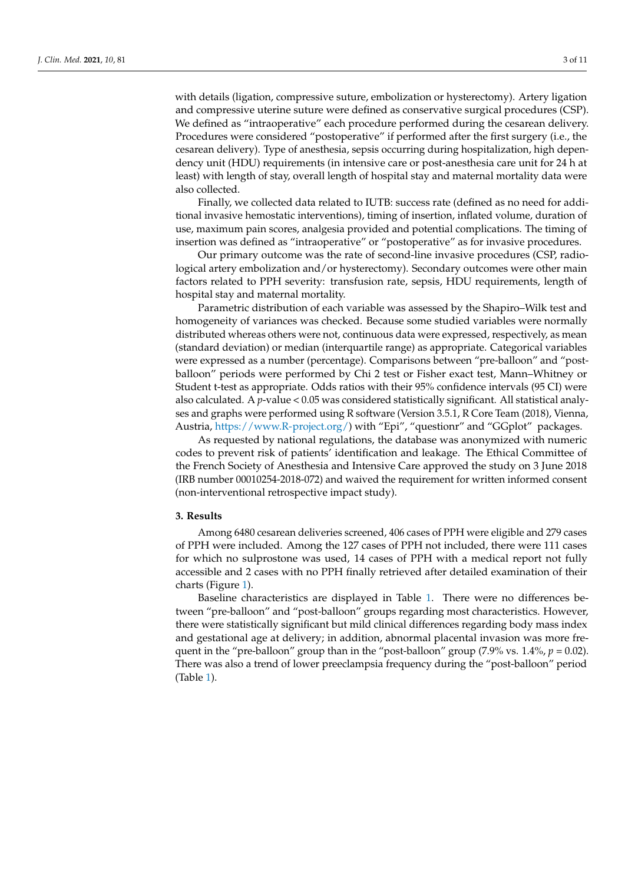with details (ligation, compressive suture, embolization or hysterectomy). Artery ligation and compressive uterine suture were defined as conservative surgical procedures (CSP). We defined as "intraoperative" each procedure performed during the cesarean delivery. Procedures were considered "postoperative" if performed after the first surgery (i.e., the cesarean delivery). Type of anesthesia, sepsis occurring during hospitalization, high dependency unit (HDU) requirements (in intensive care or post-anesthesia care unit for 24 h at least) with length of stay, overall length of hospital stay and maternal mortality data were also collected.

Finally, we collected data related to IUTB: success rate (defined as no need for additional invasive hemostatic interventions), timing of insertion, inflated volume, duration of use, maximum pain scores, analgesia provided and potential complications. The timing of insertion was defined as "intraoperative" or "postoperative" as for invasive procedures.

Our primary outcome was the rate of second-line invasive procedures (CSP, radiological artery embolization and/or hysterectomy). Secondary outcomes were other main factors related to PPH severity: transfusion rate, sepsis, HDU requirements, length of hospital stay and maternal mortality.

Parametric distribution of each variable was assessed by the Shapiro–Wilk test and homogeneity of variances was checked. Because some studied variables were normally distributed whereas others were not, continuous data were expressed, respectively, as mean (standard deviation) or median (interquartile range) as appropriate. Categorical variables were expressed as a number (percentage). Comparisons between "pre-balloon" and "postballoon" periods were performed by Chi 2 test or Fisher exact test, Mann–Whitney or Student t-test as appropriate. Odds ratios with their 95% confidence intervals (95 CI) were also calculated. A *p*-value < 0.05 was considered statistically significant. All statistical analyses and graphs were performed using R software (Version 3.5.1, R Core Team (2018), Vienna, Austria, [https://www.R-project.org/\)](https://www.R-project.org/) with "Epi", "questionr" and "GGplot" packages.

As requested by national regulations, the database was anonymized with numeric codes to prevent risk of patients' identification and leakage. The Ethical Committee of the French Society of Anesthesia and Intensive Care approved the study on 3 June 2018 (IRB number 00010254-2018-072) and waived the requirement for written informed consent (non-interventional retrospective impact study).

## **3. Results**

Among 6480 cesarean deliveries screened, 406 cases of PPH were eligible and 279 cases of PPH were included. Among the 127 cases of PPH not included, there were 111 cases for which no sulprostone was used, 14 cases of PPH with a medical report not fully accessible and 2 cases with no PPH finally retrieved after detailed examination of their charts (Figure [1\)](#page-3-0).

Baseline characteristics are displayed in Table [1.](#page-4-0) There were no differences between "pre-balloon" and "post-balloon" groups regarding most characteristics. However, there were statistically significant but mild clinical differences regarding body mass index and gestational age at delivery; in addition, abnormal placental invasion was more frequent in the "pre-balloon" group than in the "post-balloon" group  $(7.9\% \text{ vs. } 1.4\%, p = 0.02)$ . There was also a trend of lower preeclampsia frequency during the "post-balloon" period (Table [1\)](#page-4-0).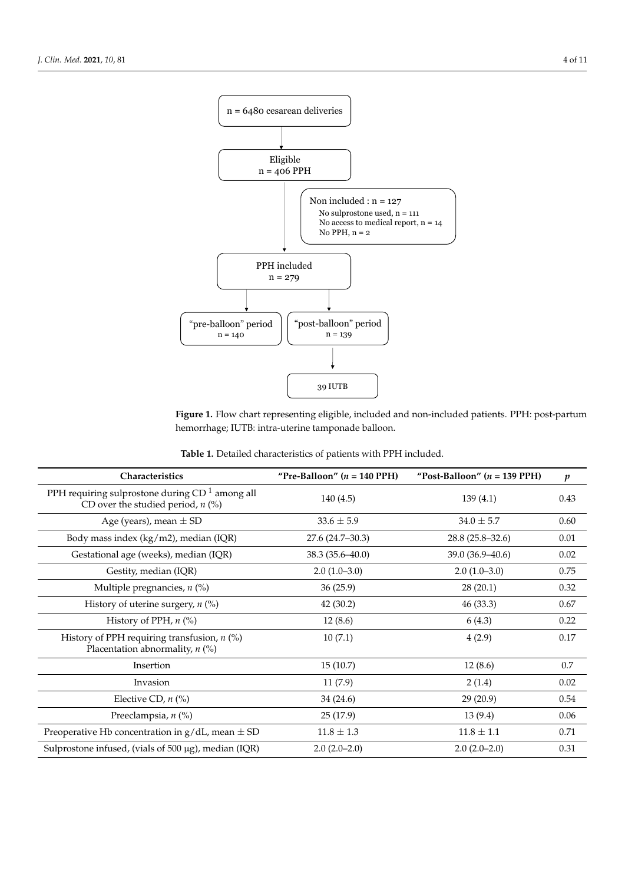<span id="page-3-0"></span>

**Figure 1.** Flow chart representing eligible, included and non-included patients. PPH: post-partum **Figure 1.** Flow chart representing eligible, included and non-included patients. PPH: post-partum hemorrhage; IUTB: intra-uterine tamponade balloon. hemorrhage; IUTB: intra-uterine tamponade balloon.

| <b>Table 1.</b> Detailed characteristics of patients with PPH included. |  |
|-------------------------------------------------------------------------|--|
|-------------------------------------------------------------------------|--|

| Characteristics                                                                                   | "Pre-Balloon" ( $n = 140$ PPH) | "Post-Balloon" ( $n = 139$ PPH) | $\boldsymbol{p}$ |
|---------------------------------------------------------------------------------------------------|--------------------------------|---------------------------------|------------------|
| PPH requiring sulprostone during CD <sup>1</sup> among all<br>CD over the studied period, $n$ (%) | 140(4.5)                       | 139(4.1)                        | 0.43             |
| Age (years), mean $\pm$ SD                                                                        | $33.6 \pm 5.9$                 | $34.0 \pm 5.7$                  | 0.60             |
| Body mass index (kg/m2), median (IQR)                                                             | $27.6(24.7-30.3)$              | $28.8(25.8-32.6)$               | 0.01             |
| Gestational age (weeks), median (IQR)                                                             | 38.3 (35.6-40.0)               | 39.0 (36.9–40.6)                | 0.02             |
| Gestity, median (IQR)                                                                             | $2.0(1.0-3.0)$                 | $2.0(1.0-3.0)$                  | 0.75             |
| Multiple pregnancies, $n$ (%)                                                                     | 36(25.9)                       | 28(20.1)                        | 0.32             |
| History of uterine surgery, $n$ (%)                                                               | 42(30.2)                       | 46(33.3)                        | 0.67             |
| History of PPH, $n$ (%)                                                                           | 12(8.6)                        | 6(4.3)                          | 0.22             |
| History of PPH requiring transfusion, $n$ (%)<br>Placentation abnormality, $n$ (%)                | 10(7.1)                        | 4(2.9)                          | 0.17             |
| Insertion                                                                                         | 15(10.7)                       | 12(8.6)                         | 0.7              |
| Invasion                                                                                          | 11(7.9)                        | 2(1.4)                          | 0.02             |
| Elective CD, $n$ (%)                                                                              | 34(24.6)                       | 29(20.9)                        | 0.54             |
| Preeclampsia, n (%)                                                                               | 25(17.9)                       | 13(9.4)                         | 0.06             |
| Preoperative Hb concentration in $g/dL$ , mean $\pm$ SD                                           | $11.8 \pm 1.3$                 | $11.8 \pm 1.1$                  | 0.71             |
| Sulprostone infused, (vials of 500 μg), median (IQR)                                              | $2.0(2.0-2.0)$                 | $2.0(2.0-2.0)$                  | 0.31             |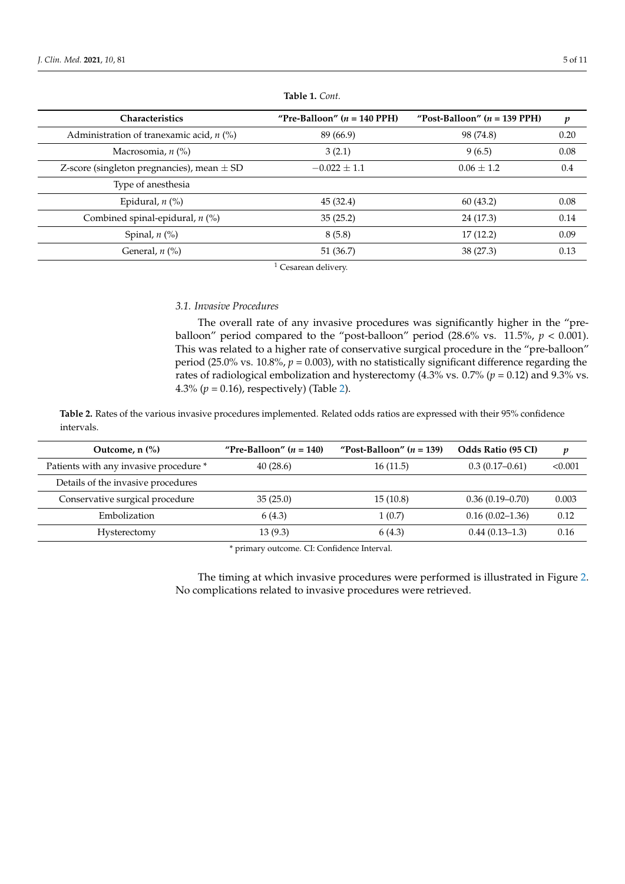<span id="page-4-0"></span>

| <b>Characteristics</b>                         | "Pre-Balloon" $(n = 140$ PPH) | "Post-Balloon" $(n = 139$ PPH) | p    |
|------------------------------------------------|-------------------------------|--------------------------------|------|
| Administration of tranexamic acid, $n$ (%)     | 89 (66.9)                     | 98 (74.8)                      | 0.20 |
| Macrosomia, $n$ (%)                            | 3(2.1)                        | 9(6.5)                         | 0.08 |
| Z-score (singleton pregnancies), mean $\pm$ SD | $-0.022 \pm 1.1$              | $0.06 \pm 1.2$                 | 0.4  |
| Type of anesthesia                             |                               |                                |      |
| Epidural, $n$ $(\%)$                           | 45(32.4)                      | 60(43.2)                       | 0.08 |
| Combined spinal-epidural, $n$ (%)              | 35(25.2)                      | 24 (17.3)                      | 0.14 |
| Spinal, $n$ $\left(\frac{9}{6}\right)$         | 8(5.8)                        | 17(12.2)                       | 0.09 |
| General, $n$ (%)                               | 51 (36.7)                     | 38 (27.3)                      | 0.13 |

**Table 1.** *Cont.*

 $1$  Cesarean delivery.

# *3.1. Invasive Procedures*

The overall rate of any invasive procedures was significantly higher in the "preballoon" period compared to the "post-balloon" period (28.6% vs. 11.5%, *p* < 0.001). This was related to a higher rate of conservative surgical procedure in the "pre-balloon" period (25.0% vs. 10.8%, *p* = 0.003), with no statistically significant difference regarding the rates of radiological embolization and hysterectomy (4.3% vs. 0.7% (*p* = 0.12) and 9.3% vs. 4.3%  $(p = 0.16)$ , respectively) (Table [2\)](#page-4-1).

<span id="page-4-1"></span>**Table 2.** Rates of the various invasive procedures implemented. Related odds ratios are expressed with their 95% confidence intervals.

| "Pre-Balloon" $(n = 140)$ | "Post-Balloon" $(n = 139)$ | Odds Ratio (95 CI)  | v       |
|---------------------------|----------------------------|---------------------|---------|
| 40(28.6)                  | 16(11.5)                   | $0.3(0.17-0.61)$    | < 0.001 |
|                           |                            |                     |         |
| 35(25.0)                  | 15(10.8)                   | $0.36(0.19-0.70)$   | 0.003   |
| 6(4.3)                    | 1(0.7)                     | $0.16(0.02 - 1.36)$ | 0.12    |
| 13(9.3)                   | 6 (4.3)                    | $0.44(0.13-1.3)$    | 0.16    |
|                           |                            |                     |         |

\* primary outcome. CI: Confidence Interval.

The timing at which invasive procedures were performed is illustrated in Figure [2.](#page-5-0) No complications related to invasive procedures were retrieved.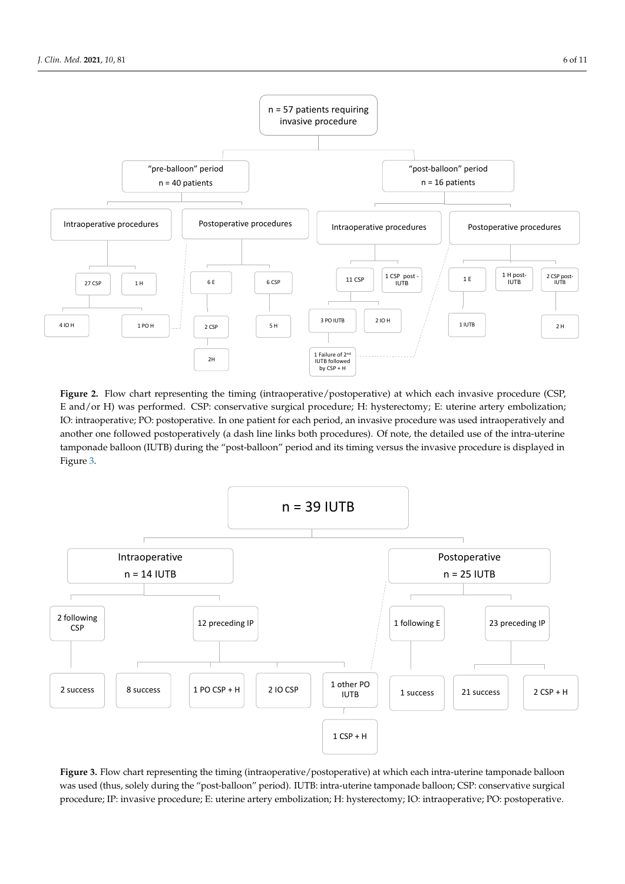<span id="page-5-0"></span>

**Figure 2.** Flow chart representing the timing (intraoperative/postoperative) at which each invasive procedure (CSP, E and/or H) was performed. CSP: conservative surgical procedure; H: hysterectomy; E: uterine artery embolization; IO: intraoperative; PO: postoperative. In one patient for each period, an invasive procedure was used intraoperatively and another one followed postoperatively (a dash line links both procedures). Of note, the detailed use of the intra-uterine tamponade balloon (IUTB) during the "post-balloon" period and its timing versus the invasive procedure is displayed in Figure 3. Figure [3.](#page-5-1) Figure 3.  $t_{\rm max}$  during the  $\sim$   $t_{\rm max}$  during the  $\mu$  post-balloon  $\mu$  period and its timing versus the invasive procedure is displayed in

<span id="page-5-1"></span>

**Figure 3.** Flow chart representing the timing (intraoperative/postoperative) at which each intra-uterine tamponade balloon was used (thus, solely during the "post-balloon" period). IUTB: intra-uterine tamponade balloon; CSP: conservative surgical procedure; IP: invasive procedure; E: uterine artery embolization; H: hysterectomy; IO: intraoperative; PO: postoperative.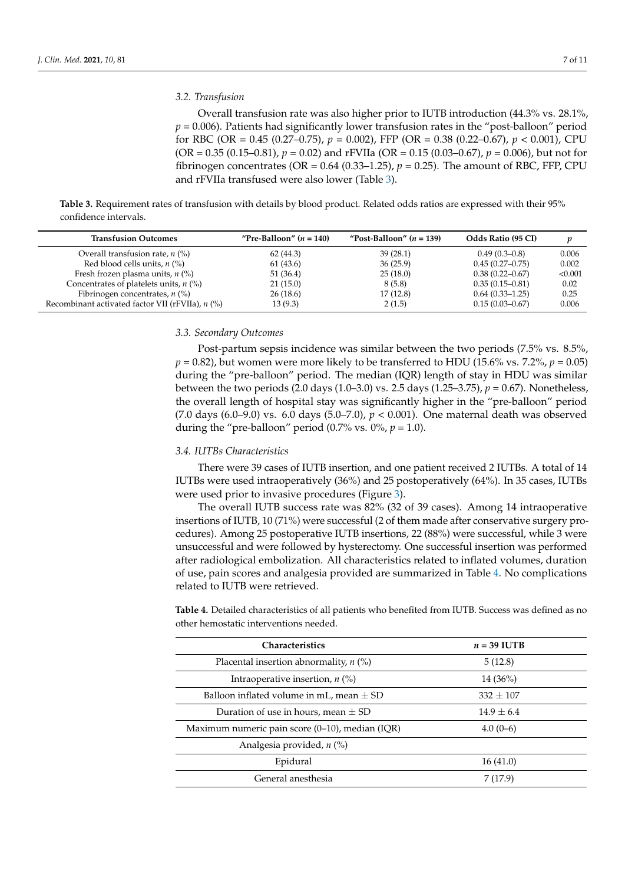# *3.2. Transfusion*

Overall transfusion rate was also higher prior to IUTB introduction (44.3% vs. 28.1%,  $p = 0.006$ ). Patients had significantly lower transfusion rates in the "post-balloon" period for RBC (OR = 0.45 (0.27–0.75), *p* = 0.002), FFP (OR = 0.38 (0.22–0.67), *p* < 0.001), CPU (OR = 0.35 (0.15–0.81), *p* = 0.02) and rFVIIa (OR = 0.15 (0.03–0.67), *p* = 0.006), but not for fibrinogen concentrates (OR =  $0.64$  (0.33–1.25),  $p = 0.25$ ). The amount of RBC, FFP, CPU and rFVIIa transfused were also lower (Table [3\)](#page-6-0).

<span id="page-6-0"></span>**Table 3.** Requirement rates of transfusion with details by blood product. Related odds ratios are expressed with their 95% confidence intervals.

| <b>Transfusion Outcomes</b>                        | "Pre-Balloon" $(n = 140)$ | "Post-Balloon" $(n = 139)$ | <b>Odds Ratio (95 CI)</b> | v       |
|----------------------------------------------------|---------------------------|----------------------------|---------------------------|---------|
| Overall transfusion rate, $n$ (%)                  | 62 (44.3)                 | 39(28.1)                   | $0.49(0.3-0.8)$           | 0.006   |
| Red blood cells units, $n$ (%)                     | 61 (43.6)                 | 36(25.9)                   | $0.45(0.27-0.75)$         | 0.002   |
| Fresh frozen plasma units, $n$ (%)                 | 51 (36.4)                 | 25(18.0)                   | $0.38(0.22 - 0.67)$       | < 0.001 |
| Concentrates of platelets units, $n$ (%)           | 21(15.0)                  | 8(5.8)                     | $0.35(0.15-0.81)$         | 0.02    |
| Fibrinogen concentrates, $n$ (%)                   | 26(18.6)                  | 17(12.8)                   | $0.64(0.33-1.25)$         | 0.25    |
| Recombinant activated factor VII (rFVIIa), $n$ (%) | 13(9.3)                   | 2(1.5)                     | $0.15(0.03 - 0.67)$       | 0.006   |

#### *3.3. Secondary Outcomes*

Post-partum sepsis incidence was similar between the two periods (7.5% vs. 8.5%,  $p = 0.82$ ), but women were more likely to be transferred to HDU (15.6% vs. 7.2%,  $p = 0.05$ ) during the "pre-balloon" period. The median (IQR) length of stay in HDU was similar between the two periods (2.0 days (1.0–3.0) vs. 2.5 days (1.25–3.75), *p* = 0.67). Nonetheless, the overall length of hospital stay was significantly higher in the "pre-balloon" period (7.0 days (6.0–9.0) vs. 6.0 days (5.0–7.0), *p* < 0.001). One maternal death was observed during the "pre-balloon" period (0.7% vs.  $0\%$ ,  $p = 1.0$ ).

### *3.4. IUTBs Characteristics*

There were 39 cases of IUTB insertion, and one patient received 2 IUTBs. A total of 14 IUTBs were used intraoperatively (36%) and 25 postoperatively (64%). In 35 cases, IUTBs were used prior to invasive procedures (Figure [3\)](#page-5-1).

The overall IUTB success rate was 82% (32 of 39 cases). Among 14 intraoperative insertions of IUTB, 10 (71%) were successful (2 of them made after conservative surgery procedures). Among 25 postoperative IUTB insertions, 22 (88%) were successful, while 3 were unsuccessful and were followed by hysterectomy. One successful insertion was performed after radiological embolization. All characteristics related to inflated volumes, duration of use, pain scores and analgesia provided are summarized in Table [4.](#page-7-0) No complications related to IUTB were retrieved.

**Table 4.** Detailed characteristics of all patients who benefited from IUTB. Success was defined as no other hemostatic interventions needed.

| <b>Characteristics</b>                               | $n = 39$ IUTB |
|------------------------------------------------------|---------------|
| Placental insertion abnormality, $n$ (%)             | 5(12.8)       |
| Intraoperative insertion, $n$ (%)                    | $14(36\%)$    |
| Balloon inflated volume in mL, mean $\pm$ SD         | $332 \pm 107$ |
| Duration of use in hours, mean $\pm$ SD              | $14.9 + 6.4$  |
| Maximum numeric pain score $(0-10)$ , median $(IQR)$ | $4.0(0-6)$    |
| Analgesia provided, $n$ (%)                          |               |
| Epidural                                             | 16(41.0)      |
| General anesthesia                                   | 7(17.9)       |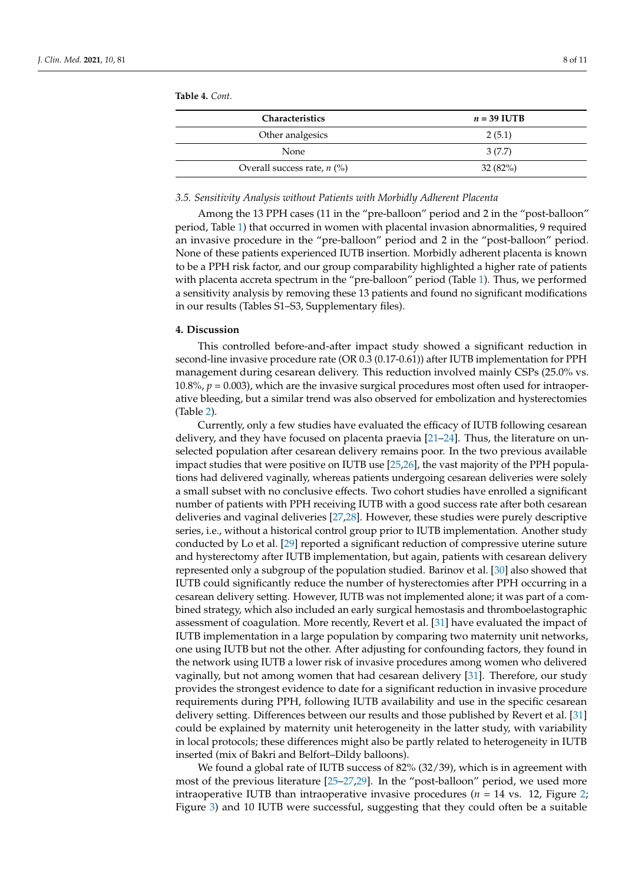<span id="page-7-0"></span>**Table 4.** *Cont.*

| <b>Characteristics</b>        | $n = 39$ IUTB |
|-------------------------------|---------------|
| Other analgesics              | 2(5.1)        |
| <b>None</b>                   | 3(7.7)        |
| Overall success rate, $n$ (%) | 32(82%)       |

#### *3.5. Sensitivity Analysis without Patients with Morbidly Adherent Placenta*

Among the 13 PPH cases (11 in the "pre-balloon" period and 2 in the "post-balloon" period, Table [1\)](#page-4-0) that occurred in women with placental invasion abnormalities, 9 required an invasive procedure in the "pre-balloon" period and 2 in the "post-balloon" period. None of these patients experienced IUTB insertion. Morbidly adherent placenta is known to be a PPH risk factor, and our group comparability highlighted a higher rate of patients with placenta accreta spectrum in the "pre-balloon" period (Table [1\)](#page-4-0). Thus, we performed a sensitivity analysis by removing these 13 patients and found no significant modifications in our results (Tables S1–S3, Supplementary files).

#### **4. Discussion**

This controlled before-and-after impact study showed a significant reduction in second-line invasive procedure rate (OR 0.3 (0.17-0.61)) after IUTB implementation for PPH management during cesarean delivery. This reduction involved mainly CSPs (25.0% vs. 10.8%, *p* = 0.003), which are the invasive surgical procedures most often used for intraoperative bleeding, but a similar trend was also observed for embolization and hysterectomies (Table [2\)](#page-4-1).

Currently, only a few studies have evaluated the efficacy of IUTB following cesarean delivery, and they have focused on placenta praevia [\[21–](#page-10-4)[24\]](#page-10-5). Thus, the literature on unselected population after cesarean delivery remains poor. In the two previous available impact studies that were positive on IUTB use [\[25](#page-10-6)[,26\]](#page-10-7), the vast majority of the PPH populations had delivered vaginally, whereas patients undergoing cesarean deliveries were solely a small subset with no conclusive effects. Two cohort studies have enrolled a significant number of patients with PPH receiving IUTB with a good success rate after both cesarean deliveries and vaginal deliveries [\[27,](#page-10-8)[28\]](#page-10-9). However, these studies were purely descriptive series, i.e., without a historical control group prior to IUTB implementation. Another study conducted by Lo et al. [\[29\]](#page-10-10) reported a significant reduction of compressive uterine suture and hysterectomy after IUTB implementation, but again, patients with cesarean delivery represented only a subgroup of the population studied. Barinov et al. [\[30\]](#page-10-11) also showed that IUTB could significantly reduce the number of hysterectomies after PPH occurring in a cesarean delivery setting. However, IUTB was not implemented alone; it was part of a combined strategy, which also included an early surgical hemostasis and thromboelastographic assessment of coagulation. More recently, Revert et al. [\[31\]](#page-10-12) have evaluated the impact of IUTB implementation in a large population by comparing two maternity unit networks, one using IUTB but not the other. After adjusting for confounding factors, they found in the network using IUTB a lower risk of invasive procedures among women who delivered vaginally, but not among women that had cesarean delivery [\[31\]](#page-10-12). Therefore, our study provides the strongest evidence to date for a significant reduction in invasive procedure requirements during PPH, following IUTB availability and use in the specific cesarean delivery setting. Differences between our results and those published by Revert et al. [\[31\]](#page-10-12) could be explained by maternity unit heterogeneity in the latter study, with variability in local protocols; these differences might also be partly related to heterogeneity in IUTB inserted (mix of Bakri and Belfort–Dildy balloons).

We found a global rate of IUTB success of 82% (32/39), which is in agreement with most of the previous literature [\[25](#page-10-6)[–27,](#page-10-8)[29\]](#page-10-10). In the "post-balloon" period, we used more intraoperative IUTB than intraoperative invasive procedures ( $n = 14$  vs. 12, Figure [2;](#page-5-0) Figure [3\)](#page-5-1) and 10 IUTB were successful, suggesting that they could often be a suitable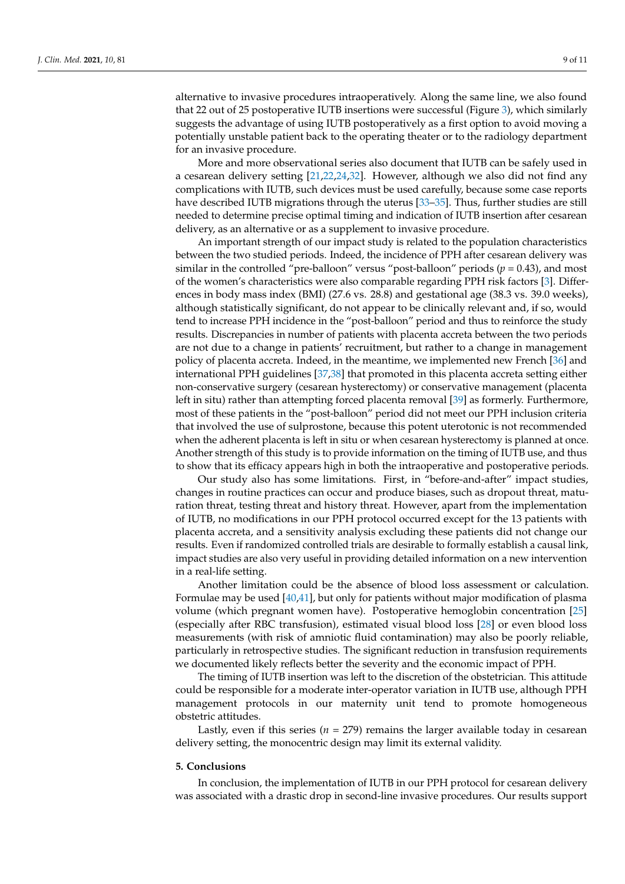alternative to invasive procedures intraoperatively. Along the same line, we also found that 22 out of 25 postoperative IUTB insertions were successful (Figure [3\)](#page-5-1), which similarly suggests the advantage of using IUTB postoperatively as a first option to avoid moving a potentially unstable patient back to the operating theater or to the radiology department for an invasive procedure.

More and more observational series also document that IUTB can be safely used in a cesarean delivery setting [\[21](#page-10-4)[,22,](#page-10-13)[24](#page-10-5)[,32\]](#page-10-14). However, although we also did not find any complications with IUTB, such devices must be used carefully, because some case reports have described IUTB migrations through the uterus [\[33](#page-10-15)[–35\]](#page-10-16). Thus, further studies are still needed to determine precise optimal timing and indication of IUTB insertion after cesarean delivery, as an alternative or as a supplement to invasive procedure.

An important strength of our impact study is related to the population characteristics between the two studied periods. Indeed, the incidence of PPH after cesarean delivery was similar in the controlled "pre-balloon" versus "post-balloon" periods (*p* = 0.43), and most of the women's characteristics were also comparable regarding PPH risk factors [\[3\]](#page-9-2). Differences in body mass index (BMI) (27.6 vs. 28.8) and gestational age (38.3 vs. 39.0 weeks), although statistically significant, do not appear to be clinically relevant and, if so, would tend to increase PPH incidence in the "post-balloon" period and thus to reinforce the study results. Discrepancies in number of patients with placenta accreta between the two periods are not due to a change in patients' recruitment, but rather to a change in management policy of placenta accreta. Indeed, in the meantime, we implemented new French [\[36\]](#page-10-17) and international PPH guidelines [\[37,](#page-10-18)[38\]](#page-10-19) that promoted in this placenta accreta setting either non-conservative surgery (cesarean hysterectomy) or conservative management (placenta left in situ) rather than attempting forced placenta removal [\[39\]](#page-10-20) as formerly. Furthermore, most of these patients in the "post-balloon" period did not meet our PPH inclusion criteria that involved the use of sulprostone, because this potent uterotonic is not recommended when the adherent placenta is left in situ or when cesarean hysterectomy is planned at once. Another strength of this study is to provide information on the timing of IUTB use, and thus to show that its efficacy appears high in both the intraoperative and postoperative periods.

Our study also has some limitations. First, in "before-and-after" impact studies, changes in routine practices can occur and produce biases, such as dropout threat, maturation threat, testing threat and history threat. However, apart from the implementation of IUTB, no modifications in our PPH protocol occurred except for the 13 patients with placenta accreta, and a sensitivity analysis excluding these patients did not change our results. Even if randomized controlled trials are desirable to formally establish a causal link, impact studies are also very useful in providing detailed information on a new intervention in a real-life setting.

Another limitation could be the absence of blood loss assessment or calculation. Formulae may be used [\[40](#page-10-21)[,41\]](#page-10-22), but only for patients without major modification of plasma volume (which pregnant women have). Postoperative hemoglobin concentration [\[25\]](#page-10-6) (especially after RBC transfusion), estimated visual blood loss [\[28\]](#page-10-9) or even blood loss measurements (with risk of amniotic fluid contamination) may also be poorly reliable, particularly in retrospective studies. The significant reduction in transfusion requirements we documented likely reflects better the severity and the economic impact of PPH.

The timing of IUTB insertion was left to the discretion of the obstetrician. This attitude could be responsible for a moderate inter-operator variation in IUTB use, although PPH management protocols in our maternity unit tend to promote homogeneous obstetric attitudes.

Lastly, even if this series ( $n = 279$ ) remains the larger available today in cesarean delivery setting, the monocentric design may limit its external validity.

#### **5. Conclusions**

In conclusion, the implementation of IUTB in our PPH protocol for cesarean delivery was associated with a drastic drop in second-line invasive procedures. Our results support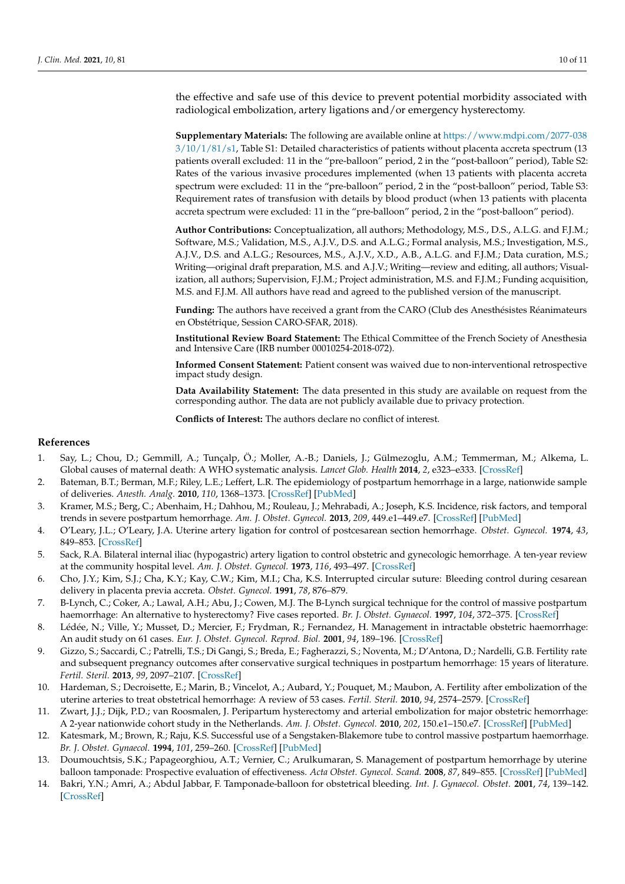the effective and safe use of this device to prevent potential morbidity associated with radiological embolization, artery ligations and/or emergency hysterectomy.

**Supplementary Materials:** The following are available online at [https://www.mdpi.com/2077-038](https://www.mdpi.com/2077-0383/10/1/81/s1) [3/10/1/81/s1,](https://www.mdpi.com/2077-0383/10/1/81/s1) Table S1: Detailed characteristics of patients without placenta accreta spectrum (13 patients overall excluded: 11 in the "pre-balloon" period, 2 in the "post-balloon" period), Table S2: Rates of the various invasive procedures implemented (when 13 patients with placenta accreta spectrum were excluded: 11 in the "pre-balloon" period, 2 in the "post-balloon" period, Table S3: Requirement rates of transfusion with details by blood product (when 13 patients with placenta accreta spectrum were excluded: 11 in the "pre-balloon" period, 2 in the "post-balloon" period).

**Author Contributions:** Conceptualization, all authors; Methodology, M.S., D.S., A.L.G. and F.J.M.; Software, M.S.; Validation, M.S., A.J.V., D.S. and A.L.G.; Formal analysis, M.S.; Investigation, M.S., A.J.V., D.S. and A.L.G.; Resources, M.S., A.J.V., X.D., A.B., A.L.G. and F.J.M.; Data curation, M.S.; Writing—original draft preparation, M.S. and A.J.V.; Writing—review and editing, all authors; Visualization, all authors; Supervision, F.J.M.; Project administration, M.S. and F.J.M.; Funding acquisition, M.S. and F.J.M. All authors have read and agreed to the published version of the manuscript.

**Funding:** The authors have received a grant from the CARO (Club des Anesthésistes Réanimateurs en Obstétrique, Session CARO-SFAR, 2018).

**Institutional Review Board Statement:** The Ethical Committee of the French Society of Anesthesia and Intensive Care (IRB number 00010254-2018-072).

**Informed Consent Statement:** Patient consent was waived due to non-interventional retrospective impact study design.

**Data Availability Statement:** The data presented in this study are available on request from the corresponding author. The data are not publicly available due to privacy protection.

**Conflicts of Interest:** The authors declare no conflict of interest.

# **References**

- <span id="page-9-0"></span>1. Say, L.; Chou, D.; Gemmill, A.; Tunçalp, Ö.; Moller, A.-B.; Daniels, J.; Gülmezoglu, A.M.; Temmerman, M.; Alkema, L. Global causes of maternal death: A WHO systematic analysis. *Lancet Glob. Health* **2014**, *2*, e323–e333. [\[CrossRef\]](http://dx.doi.org/10.1016/S2214-109X(14)70227-X)
- <span id="page-9-1"></span>2. Bateman, B.T.; Berman, M.F.; Riley, L.E.; Leffert, L.R. The epidemiology of postpartum hemorrhage in a large, nationwide sample of deliveries. *Anesth. Analg.* **2010**, *110*, 1368–1373. [\[CrossRef\]](http://dx.doi.org/10.1213/ANE.0b013e3181d74898) [\[PubMed\]](http://www.ncbi.nlm.nih.gov/pubmed/20237047)
- <span id="page-9-2"></span>3. Kramer, M.S.; Berg, C.; Abenhaim, H.; Dahhou, M.; Rouleau, J.; Mehrabadi, A.; Joseph, K.S. Incidence, risk factors, and temporal trends in severe postpartum hemorrhage. *Am. J. Obstet. Gynecol.* **2013**, *209*, 449.e1–449.e7. [\[CrossRef\]](http://dx.doi.org/10.1016/j.ajog.2013.07.007) [\[PubMed\]](http://www.ncbi.nlm.nih.gov/pubmed/23871950)
- <span id="page-9-3"></span>4. O'Leary, J.L.; O'Leary, J.A. Uterine artery ligation for control of postcesarean section hemorrhage. *Obstet. Gynecol.* **1974**, *43*, 849–853. [\[CrossRef\]](http://dx.doi.org/10.1097/00006254-197411000-00010)
- <span id="page-9-4"></span>5. Sack, R.A. Bilateral internal iliac (hypogastric) artery ligation to control obstetric and gynecologic hemorrhage. A ten-year review at the community hospital level. *Am. J. Obstet. Gynecol.* **1973**, *116*, 493–497. [\[CrossRef\]](http://dx.doi.org/10.1016/0002-9378(73)90905-8)
- <span id="page-9-5"></span>6. Cho, J.Y.; Kim, S.J.; Cha, K.Y.; Kay, C.W.; Kim, M.I.; Cha, K.S. Interrupted circular suture: Bleeding control during cesarean delivery in placenta previa accreta. *Obstet. Gynecol.* **1991**, *78*, 876–879.
- <span id="page-9-6"></span>7. B-Lynch, C.; Coker, A.; Lawal, A.H.; Abu, J.; Cowen, M.J. The B-Lynch surgical technique for the control of massive postpartum haemorrhage: An alternative to hysterectomy? Five cases reported. *Br. J. Obstet. Gynaecol.* **1997**, *104*, 372–375. [\[CrossRef\]](http://dx.doi.org/10.1111/j.1471-0528.1997.tb11471.x)
- <span id="page-9-7"></span>8. Lédée, N.; Ville, Y.; Musset, D.; Mercier, F.; Frydman, R.; Fernandez, H. Management in intractable obstetric haemorrhage: An audit study on 61 cases. *Eur. J. Obstet. Gynecol. Reprod. Biol.* **2001**, *94*, 189–196. [\[CrossRef\]](http://dx.doi.org/10.1016/S0301-2115(00)00349-3)
- <span id="page-9-8"></span>9. Gizzo, S.; Saccardi, C.; Patrelli, T.S.; Di Gangi, S.; Breda, E.; Fagherazzi, S.; Noventa, M.; D'Antona, D.; Nardelli, G.B. Fertility rate and subsequent pregnancy outcomes after conservative surgical techniques in postpartum hemorrhage: 15 years of literature. *Fertil. Steril.* **2013**, *99*, 2097–2107. [\[CrossRef\]](http://dx.doi.org/10.1016/j.fertnstert.2013.02.013)
- 10. Hardeman, S.; Decroisette, E.; Marin, B.; Vincelot, A.; Aubard, Y.; Pouquet, M.; Maubon, A. Fertility after embolization of the uterine arteries to treat obstetrical hemorrhage: A review of 53 cases. *Fertil. Steril.* **2010**, *94*, 2574–2579. [\[CrossRef\]](http://dx.doi.org/10.1016/j.fertnstert.2010.02.052)
- <span id="page-9-9"></span>11. Zwart, J.J.; Dijk, P.D.; van Roosmalen, J. Peripartum hysterectomy and arterial embolization for major obstetric hemorrhage: A 2-year nationwide cohort study in the Netherlands. *Am. J. Obstet. Gynecol.* **2010**, *202*, 150.e1–150.e7. [\[CrossRef\]](http://dx.doi.org/10.1016/j.ajog.2009.09.003) [\[PubMed\]](http://www.ncbi.nlm.nih.gov/pubmed/19922900)
- <span id="page-9-10"></span>12. Katesmark, M.; Brown, R.; Raju, K.S. Successful use of a Sengstaken-Blakemore tube to control massive postpartum haemorrhage. *Br. J. Obstet. Gynaecol.* **1994**, *101*, 259–260. [\[CrossRef\]](http://dx.doi.org/10.1111/j.1471-0528.1994.tb13124.x) [\[PubMed\]](http://www.ncbi.nlm.nih.gov/pubmed/8193105)
- <span id="page-9-11"></span>13. Doumouchtsis, S.K.; Papageorghiou, A.T.; Vernier, C.; Arulkumaran, S. Management of postpartum hemorrhage by uterine balloon tamponade: Prospective evaluation of effectiveness. *Acta Obstet. Gynecol. Scand.* **2008**, *87*, 849–855. [\[CrossRef\]](http://dx.doi.org/10.1080/00016340802179822) [\[PubMed\]](http://www.ncbi.nlm.nih.gov/pubmed/18704777)
- <span id="page-9-12"></span>14. Bakri, Y.N.; Amri, A.; Abdul Jabbar, F. Tamponade-balloon for obstetrical bleeding. *Int. J. Gynaecol. Obstet.* **2001**, *74*, 139–142. [\[CrossRef\]](http://dx.doi.org/10.1016/S0020-7292(01)00395-2)